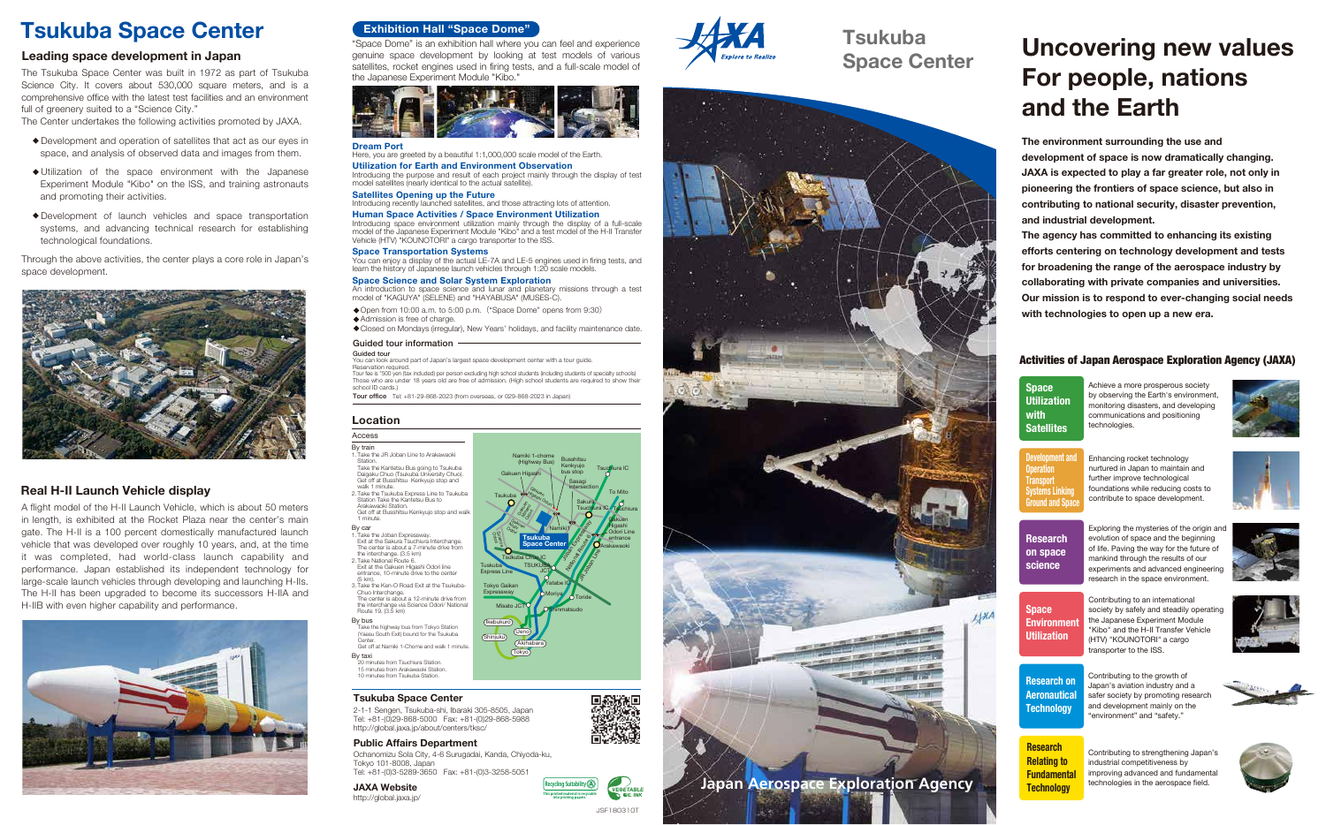# **Location**

# Access

By train 1. Take the JR Joban Line to Arakawaoki

Station. Take the Kantetsu Bus going to Tsukuba

Daigaku Chuo (Tsukuba University Chuo). Get off at Busshitsu Kenkyujo stop and walk 1 minute. 2. Take the Tsukuba Express Line to Tsukuba

 Station Take the Kantetsu Bus to Arakawaoki Station. Get off at Busshitsu Kenkyujo stop and walk

 1 minute. By car

 The center is about a 7-minute drive from the interchange. (3.5 km) 2. Take National Route 6.

 (5 km). 3. Take the Ken-O Road Exit at the Tsukuba-

The Tsukuba Space Center was built in 1972 as part of Tsukuba Science City. It covers about 530,000 square meters, and is a comprehensive office with the latest test facilities and an environment full of greenery suited to a "Science City."

> Chuo Interchange. The center is about a 12-minute drive from the interchange via Science Odori/ National Route 19. (3.5 km)

By bus

Take the highway bus from Tokyo Station (Yaesu South Exit) bound for the Tsukuba

Center. Get off at Namiki 1-Chome and walk 1 minute.

By taxi 20 minutes from Tsuchiura Station.

15 minutes from Arakawaoki Station. 10 minutes from Tsukuba Station.

- Development and operation of satellites that act as our eyes in space, and analysis of observed data and images from them.
- ・Utilization of the space environment with the Japanese Experiment Module "Kibo" on the ISS, and training astronauts and promoting their activities.
- ・Development of launch vehicles and space transportation systems, and advancing technical research for establishing technological foundations.

"Space Dome" is an exhibition hall where you can feel and experience genuine space development by looking at test models of various satellites, rocket engines used in firing tests, and a full-scale model of the Japanese Experiment Module "Kibo."



# **Tsukuba Space Center Exhibition Hall "Space Dome"**

1. Take the Joban Expressway. Exit at the Sakura Tsuchiura Interchange. Exit at the Gakuen Higashi Odori line entrance, 10-minute drive to the center Tuskuba Express Line **Tokyo Gaika** Expressway

The Center undertakes the following activities promoted by JAXA.

・Open from 10:00 a.m. to 5:00 p.m.("Space Dome" opens from 9:30) **•** Admission is free of charge.

You can look around part of Japan's largest space development center with a tour guide. servation required

Through the above activities, the center plays a core role in Japan's space development.



### **Dream Port**

Here, you are greeted by a beautiful 1:1,000,000 scale model of the Earth. **Utilization for Earth and Environment Observation**

Introducing the purpose and result of each project mainly through the display of test model satellites (nearly identical to the actual satellite).

**Satellites Opening up the Future**

# Introducing recently launched satellites, and those attracting lots of attention.

**Human Space Activities / Space Environment Utilization** Introducing space environment utilization mainly through the display of a full-scale model of the Japanese Experiment Module "Kibo" and a test model of the H-II Transfer Vehicle (HTV) "KOUNOTORI" a cargo transporter to the ISS.

**Space Transportation Systems**

You can enjoy a display of the actual LE-7A and LE-5 engines used in firing tests, and learn the history of Japanese launch vehicles through 1:20 scale models.

# **Space Science and Solar System Exploration**

An introduction to space science and lunar and planetary missions through a test model of "KAGUYA" (SELENE) and "HAYABUSA" (MUSES-C).

・Closed on Mondays (irregular), New Years' holidays, and facility maintenance date.

## Guided tour information



Guided tour

Tour fee is \*500 yen (tax included) per person excluding high school students (including students of specialty schools) Those who are under 18 years old are free of admission. (High school students are required to show their school ID cards.)

Tour office Tel: +81-29-868-2023 (from overseas, or 029-868-2023 in Japan)

JSF180310T

**GÉTABLI** 

A flight model of the H-II Launch Vehicle, which is about 50 meters in length, is exhibited at the Rocket Plaza near the center's main gate. The H-II is a 100 percent domestically manufactured launch vehicle that was developed over roughly 10 years, and, at the time it was completed, had world-class launch capability and performance. Japan established its independent technology for large-scale launch vehicles through developing and launching H-IIs. The H-II has been upgraded to become its successors H-IIA and H-IIB with even higher capability and performance.



# **Leading space development in Japan**

# **Real H-II Launch Vehicle display**

# **Tsukuba Space Center**

**JAXA Website** http://global.jaxa.jp/

2-1-1 Sengen, Tsukuba-shi, Ibaraki 305-8505, Japan Tel: +81-(0)29-868-5000 Fax: +81-(0)29-868-5988 http://global.jaxa.jp/about/centers/tksc/

# **Public Affairs Department**

Ochanomizu Sola City, 4-6 Surugadai, Kanda, Chiyoda-ku, Tokyo 101-8008, Japan Tel: +81-(0)3-5289-3650 Fax: +81-(0)3-3258-5051

> **This printed material is recycable into printing papers. Recycling Suitability**







# Activities of Japan Aerospace Exploration Agency (JAXA)

**Research Relating to Fundamental Technology**

| Space<br><b>Utilization</b><br>with<br><b>Satellites</b>                                              | Achieve a more prosperous society<br>by observing the Earth's environment,<br>monitoring disasters, and developing<br>communications and positioning<br>technologies.                                                                             |
|-------------------------------------------------------------------------------------------------------|---------------------------------------------------------------------------------------------------------------------------------------------------------------------------------------------------------------------------------------------------|
| <b>Development and</b><br><b>Operation</b><br>Transport<br>Svstems Linkina<br><b>Ground and Space</b> | Enhancing rocket technology<br>nurtured in Japan to maintain and<br>further improve technological<br>foundations while reducing costs to<br>contribute to space development.                                                                      |
| <b>Research</b><br>on space<br>science                                                                | Exploring the mysteries of the origin an<br>evolution of space and the beginning<br>of life. Paving the way for the future of<br>mankind through the results of our<br>experiments and advanced engineering<br>research in the space environment. |
| <b>Space</b><br><b>Environment</b><br>Utilization                                                     | Contributing to an international<br>society by safely and steadily operating<br>the Japanese Experiment Module<br>"Kibo" and the H-II Transfer Vehicle<br>(HTV) "KOUNOTORI" a cargo<br>transporter to the ISS.                                    |
| <b>Research on</b><br>Aeronautical<br>Technology                                                      | Contributing to the growth of<br>Japan's aviation industry and a<br>safer society by promoting research<br>and development mainly on the<br>"environment" and "safety."                                                                           |
|                                                                                                       |                                                                                                                                                                                                                                                   |











Contributing to strengthening Japan's industrial competitiveness by improving advanced and fundamental technologies in the aerospace field.



# **Uncovering new values For people, nations and the Earth**

**The environment surrounding the use and development of space is now dramatically changing. JAXA is expected to play a far greater role, not only in pioneering the frontiers of space science, but also in contributing to national security, disaster prevention, and industrial development.**

**The agency has committed to enhancing its existing efforts centering on technology development and tests for broadening the range of the aerospace industry by collaborating with private companies and universities. Our mission is to respond to ever-changing social needs with technologies to open up a new era.**